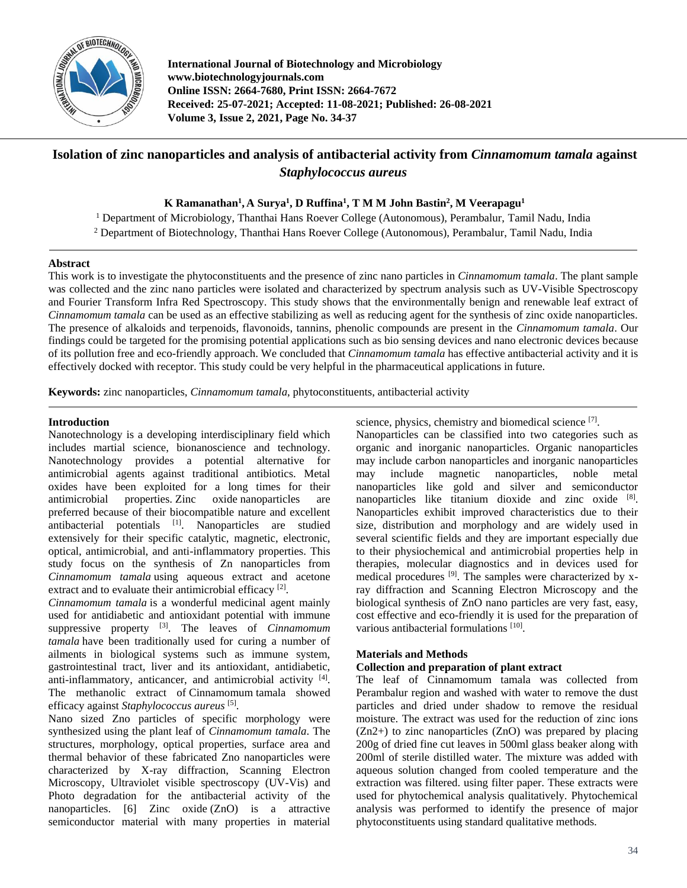

**International Journal of Biotechnology and Microbiology www.biotechnologyjournals.com Online ISSN: 2664-7680, Print ISSN: 2664-7672 Received: 25-07-2021; Accepted: 11-08-2021; Published: 26-08-2021 Volume 3, Issue 2, 2021, Page No. 34-37**

# **Isolation of zinc nanoparticles and analysis of antibacterial activity from** *Cinnamomum tamala* **against**  *Staphylococcus aureus*

**K Ramanathan<sup>1</sup> , A Surya<sup>1</sup> , D Ruffina<sup>1</sup> , T M M John Bastin<sup>2</sup> , M Veerapagu<sup>1</sup>**

<sup>1</sup> Department of Microbiology, Thanthai Hans Roever College (Autonomous), Perambalur, Tamil Nadu, India

<sup>2</sup> Department of Biotechnology, Thanthai Hans Roever College (Autonomous), Perambalur, Tamil Nadu, India

### **Abstract**

This work is to investigate the phytoconstituents and the presence of zinc nano particles in *Cinnamomum tamala*. The plant sample was collected and the zinc nano particles were isolated and characterized by spectrum analysis such as UV-Visible Spectroscopy and Fourier Transform Infra Red Spectroscopy. This study shows that the environmentally benign and renewable leaf extract of *Cinnamomum tamala* can be used as an effective stabilizing as well as reducing agent for the synthesis of zinc oxide nanoparticles. The presence of alkaloids and terpenoids, flavonoids, tannins, phenolic compounds are present in the *Cinnamomum tamala*. Our findings could be targeted for the promising potential applications such as bio sensing devices and nano electronic devices because of its pollution free and eco-friendly approach. We concluded that *Cinnamomum tamala* has effective antibacterial activity and it is effectively docked with receptor. This study could be very helpful in the pharmaceutical applications in future.

**Keywords:** zinc nanoparticles, *Cinnamomum tamala*, phytoconstituents, antibacterial activity

### **Introduction**

Nanotechnology is a developing interdisciplinary field which includes martial science, bionanoscience and technology. Nanotechnology provides a potential alternative for antimicrobial agents against traditional antibiotics. Metal oxides have been exploited for a long times for their antimicrobial properties. Zinc oxide nanoparticles are preferred because of their biocompatible nature and excellent antibacterial potentials <sup>[1]</sup>. Nanoparticles are studied extensively for their specific catalytic, magnetic, electronic, optical, antimicrobial, and anti-inflammatory properties. This study focus on the synthesis of Zn nanoparticles from *Cinnamomum tamala* using aqueous extract and acetone extract and to evaluate their antimicrobial efficacy<sup>[2]</sup>.

*Cinnamomum tamala* is a wonderful medicinal agent mainly used for antidiabetic and antioxidant potential with immune suppressive property [3] . The leaves of *Cinnamomum tamala* have been traditionally used for curing a number of ailments in biological systems such as immune system, gastrointestinal tract, liver and its antioxidant, antidiabetic, anti-inflammatory, anticancer, and antimicrobial activity [4]. The methanolic extract of Cinnamomum tamala showed efficacy against Staphylococcus aureus<sup>[5]</sup>.

Nano sized Zno particles of specific morphology were synthesized using the plant leaf of *Cinnamomum tamala*. The structures, morphology, optical properties, surface area and thermal behavior of these fabricated Zno nanoparticles were characterized by X-ray diffraction, Scanning Electron Microscopy, Ultraviolet visible spectroscopy (UV-Vis) and Photo degradation for the antibacterial activity of the nanoparticles. [6] Zinc oxide (ZnO) is a attractive semiconductor material with many properties in material science, physics, chemistry and biomedical science [7].

Nanoparticles can be classified into two categories such as organic and inorganic nanoparticles. Organic nanoparticles may include carbon nanoparticles and inorganic nanoparticles may include magnetic nanoparticles, noble metal nanoparticles like gold and silver and semiconductor nanoparticles like titanium dioxide and zinc oxide [8]. Nanoparticles exhibit improved characteristics due to their size, distribution and morphology and are widely used in several scientific fields and they are important especially due to their physiochemical and antimicrobial properties help in therapies, molecular diagnostics and in devices used for medical procedures <sup>[9]</sup>. The samples were characterized by xray diffraction and Scanning Electron Microscopy and the biological synthesis of ZnO nano particles are very fast, easy, cost effective and eco-friendly it is used for the preparation of various antibacterial formulations [10].

## **Materials and Methods**

## **Collection and preparation of plant extract**

The leaf of Cinnamomum tamala was collected from Perambalur region and washed with water to remove the dust particles and dried under shadow to remove the residual moisture. The extract was used for the reduction of zinc ions  $(Zn2+)$  to zinc nanoparticles  $(ZnO)$  was prepared by placing 200g of dried fine cut leaves in 500ml glass beaker along with 200ml of sterile distilled water. The mixture was added with aqueous solution changed from cooled temperature and the extraction was filtered. using filter paper. These extracts were used for phytochemical analysis qualitatively. Phytochemical analysis was performed to identify the presence of major phytoconstituents using standard qualitative methods.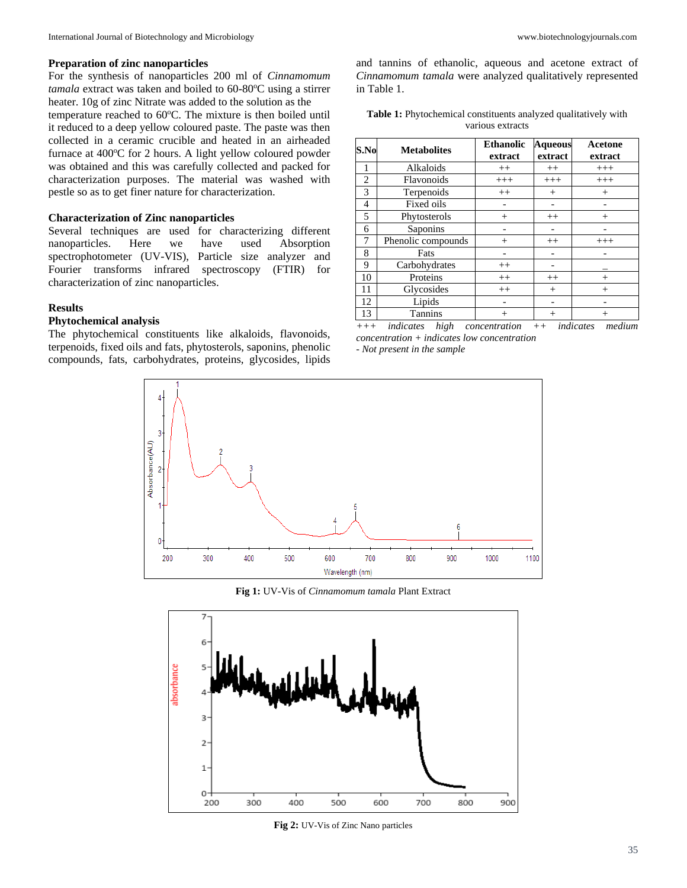#### **Preparation of zinc nanoparticles**

For the synthesis of nanoparticles 200 ml of *Cinnamomum tamala* extract was taken and boiled to 60-80°C using a stirrer heater. 10g of zinc Nitrate was added to the solution as the temperature reached to 60°C. The mixture is then boiled until it reduced to a deep yellow coloured paste. The paste was then collected in a ceramic crucible and heated in an airheaded furnace at  $400^{\circ}$ C for 2 hours. A light yellow coloured powder was obtained and this was carefully collected and packed for characterization purposes. The material was washed with pestle so as to get finer nature for characterization.

#### **Characterization of Zinc nanoparticles**

Several techniques are used for characterizing different nanoparticles. Here we have used Absorption spectrophotometer (UV-VIS), Particle size analyzer and Fourier transforms infrared spectroscopy (FTIR) for characterization of zinc nanoparticles.

### **Results**

# **Phytochemical analysis**

The phytochemical constituents like alkaloids, flavonoids, terpenoids, fixed oils and fats, phytosterols, saponins, phenolic compounds, fats, carbohydrates, proteins, glycosides, lipids

and tannins of ethanolic, aqueous and acetone extract of *Cinnamomum tamala* were analyzed qualitatively represented in Table 1.

| Table 1: Phytochemical constituents analyzed qualitatively with |  |
|-----------------------------------------------------------------|--|
| various extracts                                                |  |

| S.No           | <b>Metabolites</b> | <b>Ethanolic</b><br>extract | <b>Aqueous</b><br>extract | Acetone<br>extract |  |
|----------------|--------------------|-----------------------------|---------------------------|--------------------|--|
| 1              | Alkaloids          | $^{++}$                     | $++$                      | $^{+++}$           |  |
| $\overline{2}$ | Flavonoids         | $+++$                       | $+++$                     | $^{+++}$           |  |
| 3              | Terpenoids         | $^{++}$                     | $^{+}$                    | $^{+}$             |  |
| 4              | Fixed oils         |                             |                           |                    |  |
| 5              | Phytosterols       | $^{+}$                      | $++$                      | $^{+}$             |  |
| 6              | Saponins           |                             |                           |                    |  |
| 7              | Phenolic compounds | $^{+}$                      | $++$                      | $^{+++}$           |  |
| 8              | Fats               |                             |                           |                    |  |
| 9              | Carbohydrates      | $^{++}$                     |                           |                    |  |
| 10             | Proteins           | $^{++}$                     | $^{++}$                   | $^{+}$             |  |
| 11             | Glycosides         | $^{++}$                     | $^{+}$                    | $^{+}$             |  |
| 12             | Lipids             |                             |                           |                    |  |
| 13             | <b>Tannins</b>     | $^{+}$                      | $^{+}$                    | $^{+}$             |  |

*+++ indicates high concentration ++ indicates medium concentration + indicates low concentration - Not present in the sample*



**Fig 1:** UV-Vis of *Cinnamomum tamala* Plant Extract



**Fig 2:** UV-Vis of Zinc Nano particles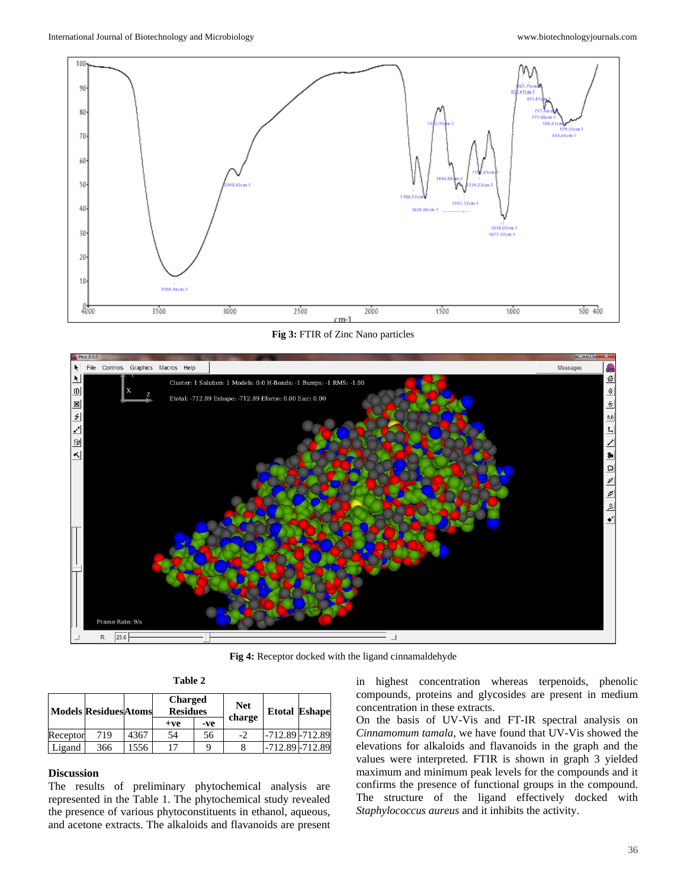

**Fig 3:** FTIR of Zinc Nano particles



**Fig 4:** Receptor docked with the ligand cinnamaldehyde

| ı<br>וחו<br>и |  |
|---------------|--|
|---------------|--|

|          | <b>Models Residues Atoms</b> |      | <b>Charged</b><br><b>Residues</b> |     | <b>Net</b> | <b>Etotal Eshape</b> |  |
|----------|------------------------------|------|-----------------------------------|-----|------------|----------------------|--|
|          |                              |      | $+ve$                             | -ve | charge     |                      |  |
| Receptor | 719                          | 4367 | 54                                | 56  | $-2$       | $-712.89 - 712.89$   |  |
| Ligand   | 366                          | 1556 |                                   | q   |            | -712.89 - 712.89     |  |

### **Discussion**

The results of preliminary phytochemical analysis are represented in the Table 1. The phytochemical study revealed the presence of various phytoconstituents in ethanol, aqueous, and acetone extracts. The alkaloids and flavanoids are present

in highest concentration whereas terpenoids, phenolic compounds, proteins and glycosides are present in medium concentration in these extracts.

On the basis of UV-Vis and FT-IR spectral analysis on *Cinnamomum tamala*, we have found that UV-Vis showed the elevations for alkaloids and flavanoids in the graph and the values were interpreted. FTIR is shown in graph 3 yielded maximum and minimum peak levels for the compounds and it confirms the presence of functional groups in the compound. The structure of the ligand effectively docked with *Staphylococcus aureus* and it inhibits the activity.